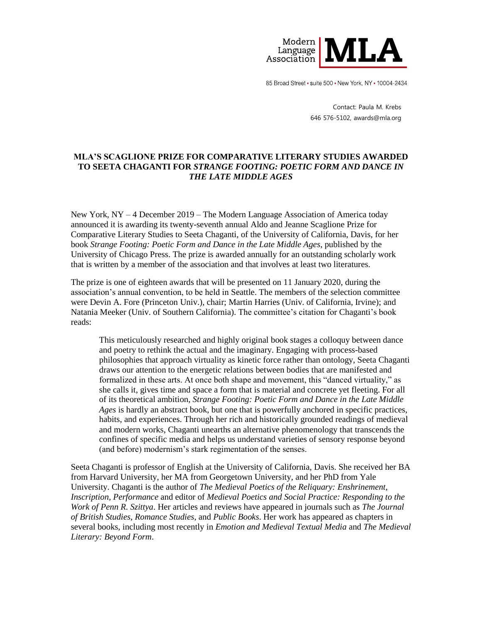

85 Broad Street - suite 500 - New York, NY - 10004-2434

Contact: Paula M. Krebs 646 576-5102, awards@mla.org

## **MLA'S SCAGLIONE PRIZE FOR COMPARATIVE LITERARY STUDIES AWARDED TO SEETA CHAGANTI FOR** *STRANGE FOOTING: POETIC FORM AND DANCE IN THE LATE MIDDLE AGES*

New York, NY – 4 December 2019 – The Modern Language Association of America today announced it is awarding its twenty-seventh annual Aldo and Jeanne Scaglione Prize for Comparative Literary Studies to Seeta Chaganti, of the University of California, Davis, for her book *Strange Footing: Poetic Form and Dance in the Late Middle Ages*, published by the University of Chicago Press. The prize is awarded annually for an outstanding scholarly work that is written by a member of the association and that involves at least two literatures.

The prize is one of eighteen awards that will be presented on 11 January 2020, during the association's annual convention, to be held in Seattle. The members of the selection committee were Devin A. Fore (Princeton Univ.), chair; Martin Harries (Univ. of California, Irvine); and Natania Meeker (Univ. of Southern California). The committee's citation for Chaganti's book reads:

This meticulously researched and highly original book stages a colloquy between dance and poetry to rethink the actual and the imaginary. Engaging with process-based philosophies that approach virtuality as kinetic force rather than ontology, Seeta Chaganti draws our attention to the energetic relations between bodies that are manifested and formalized in these arts. At once both shape and movement, this "danced virtuality," as she calls it, gives time and space a form that is material and concrete yet fleeting. For all of its theoretical ambition, *Strange Footing: Poetic Form and Dance in the Late Middle Ages* is hardly an abstract book, but one that is powerfully anchored in specific practices, habits, and experiences. Through her rich and historically grounded readings of medieval and modern works, Chaganti unearths an alternative phenomenology that transcends the confines of specific media and helps us understand varieties of sensory response beyond (and before) modernism's stark regimentation of the senses.

Seeta Chaganti is professor of English at the University of California, Davis. She received her BA from Harvard University, her MA from Georgetown University, and her PhD from Yale University. Chaganti is the author of *The Medieval Poetics of the Reliquary: Enshrinement, Inscription, Performance* and editor of *Medieval Poetics and Social Practice: Responding to the Work of Penn R. Szittya*. Her articles and reviews have appeared in journals such as *The Journal of British Studies*, *Romance Studies*, and *Public Books*. Her work has appeared as chapters in several books, including most recently in *Emotion and Medieval Textual Media* and *The Medieval Literary: Beyond Form*.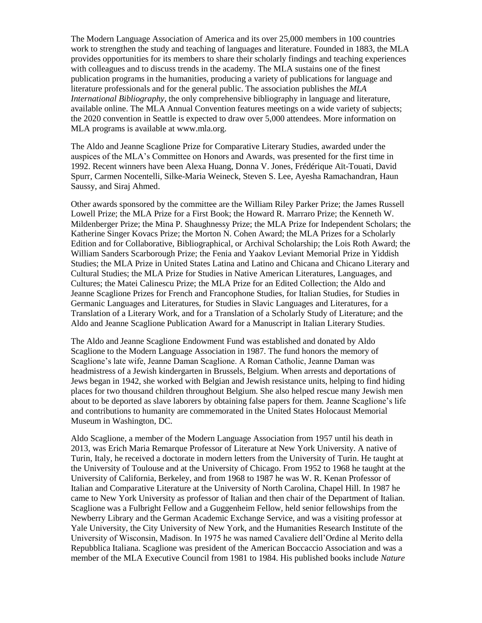The Modern Language Association of America and its over 25,000 members in 100 countries work to strengthen the study and teaching of languages and literature. Founded in 1883, the MLA provides opportunities for its members to share their scholarly findings and teaching experiences with colleagues and to discuss trends in the academy. The MLA sustains one of the finest publication programs in the humanities, producing a variety of publications for language and literature professionals and for the general public. The association publishes the *MLA International Bibliography*, the only comprehensive bibliography in language and literature, available online. The MLA Annual Convention features meetings on a wide variety of subjects; the 2020 convention in Seattle is expected to draw over 5,000 attendees. More information on MLA programs is available at www.mla.org.

The Aldo and Jeanne Scaglione Prize for Comparative Literary Studies, awarded under the auspices of the MLA's Committee on Honors and Awards, was presented for the first time in 1992. Recent winners have been Alexa Huang, Donna V. Jones, Frédérique Aït-Touati, David Spurr, Carmen Nocentelli, Silke-Maria Weineck, Steven S. Lee, Ayesha Ramachandran, Haun Saussy, and Siraj Ahmed.

Other awards sponsored by the committee are the William Riley Parker Prize; the James Russell Lowell Prize; the MLA Prize for a First Book; the Howard R. Marraro Prize; the Kenneth W. Mildenberger Prize; the Mina P. Shaughnessy Prize; the MLA Prize for Independent Scholars; the Katherine Singer Kovacs Prize; the Morton N. Cohen Award; the MLA Prizes for a Scholarly Edition and for Collaborative, Bibliographical, or Archival Scholarship; the Lois Roth Award; the William Sanders Scarborough Prize; the Fenia and Yaakov Leviant Memorial Prize in Yiddish Studies; the MLA Prize in United States Latina and Latino and Chicana and Chicano Literary and Cultural Studies; the MLA Prize for Studies in Native American Literatures, Languages, and Cultures; the Matei Calinescu Prize; the MLA Prize for an Edited Collection; the Aldo and Jeanne Scaglione Prizes for French and Francophone Studies, for Italian Studies, for Studies in Germanic Languages and Literatures, for Studies in Slavic Languages and Literatures, for a Translation of a Literary Work, and for a Translation of a Scholarly Study of Literature; and the Aldo and Jeanne Scaglione Publication Award for a Manuscript in Italian Literary Studies.

The Aldo and Jeanne Scaglione Endowment Fund was established and donated by Aldo Scaglione to the Modern Language Association in 1987. The fund honors the memory of Scaglione's late wife, Jeanne Daman Scaglione. A Roman Catholic, Jeanne Daman was headmistress of a Jewish kindergarten in Brussels, Belgium. When arrests and deportations of Jews began in 1942, she worked with Belgian and Jewish resistance units, helping to find hiding places for two thousand children throughout Belgium. She also helped rescue many Jewish men about to be deported as slave laborers by obtaining false papers for them. Jeanne Scaglione's life and contributions to humanity are commemorated in the United States Holocaust Memorial Museum in Washington, DC.

Aldo Scaglione, a member of the Modern Language Association from 1957 until his death in 2013, was Erich Maria Remarque Professor of Literature at New York University. A native of Turin, Italy, he received a doctorate in modern letters from the University of Turin. He taught at the University of Toulouse and at the University of Chicago. From 1952 to 1968 he taught at the University of California, Berkeley, and from 1968 to 1987 he was W. R. Kenan Professor of Italian and Comparative Literature at the University of North Carolina, Chapel Hill. In 1987 he came to New York University as professor of Italian and then chair of the Department of Italian. Scaglione was a Fulbright Fellow and a Guggenheim Fellow, held senior fellowships from the Newberry Library and the German Academic Exchange Service, and was a visiting professor at Yale University, the City University of New York, and the Humanities Research Institute of the University of Wisconsin, Madison. In 1975 he was named Cavaliere dell'Ordine al Merito della Repubblica Italiana. Scaglione was president of the American Boccaccio Association and was a member of the MLA Executive Council from 1981 to 1984. His published books include *Nature*